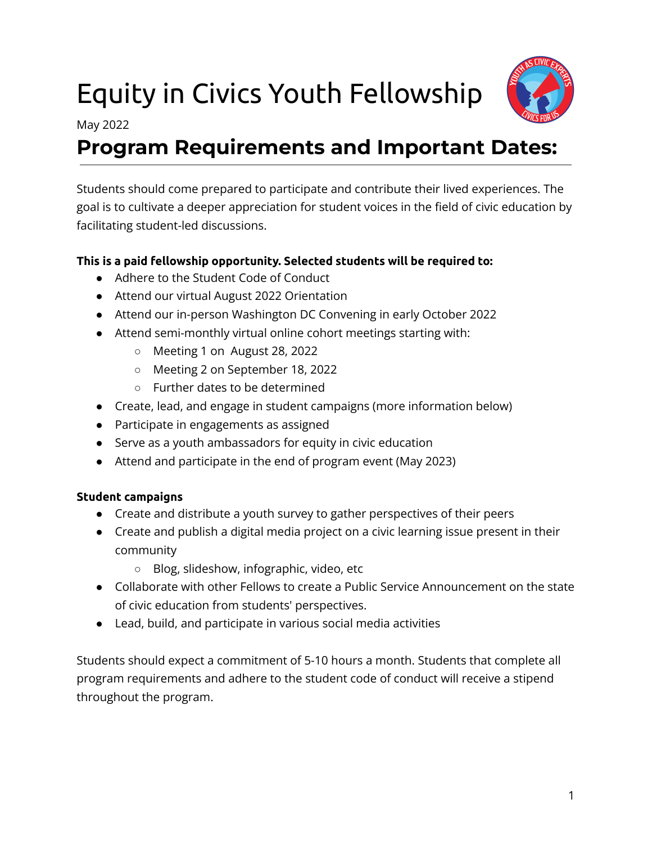# Equity in Civics Youth Fellowship



May 2022

### **Program Requirements and Important Dates:**

Students should come prepared to participate and contribute their lived experiences. The goal is to cultivate a deeper appreciation for student voices in the field of civic education by facilitating student-led discussions.

#### **This is a paid fellowship opportunity. Selected students will be required to:**

- Adhere to the Student Code of Conduct
- Attend our virtual August 2022 Orientation
- Attend our in-person Washington DC Convening in early October 2022
- Attend semi-monthly virtual online cohort meetings starting with:
	- Meeting 1 on August 28, 2022
	- Meeting 2 on September 18, 2022
	- Further dates to be determined
- Create, lead, and engage in student campaigns (more information below)
- Participate in engagements as assigned
- Serve as a youth ambassadors for equity in civic education
- Attend and participate in the end of program event (May 2023)

#### **Student campaigns**

- Create and distribute a youth survey to gather perspectives of their peers
- Create and publish a digital media project on a civic learning issue present in their community
	- Blog, slideshow, infographic, video, etc
- Collaborate with other Fellows to create a Public Service Announcement on the state of civic education from students' perspectives.
- Lead, build, and participate in various social media activities

Students should expect a commitment of 5-10 hours a month. Students that complete all program requirements and adhere to the student code of conduct will receive a stipend throughout the program.